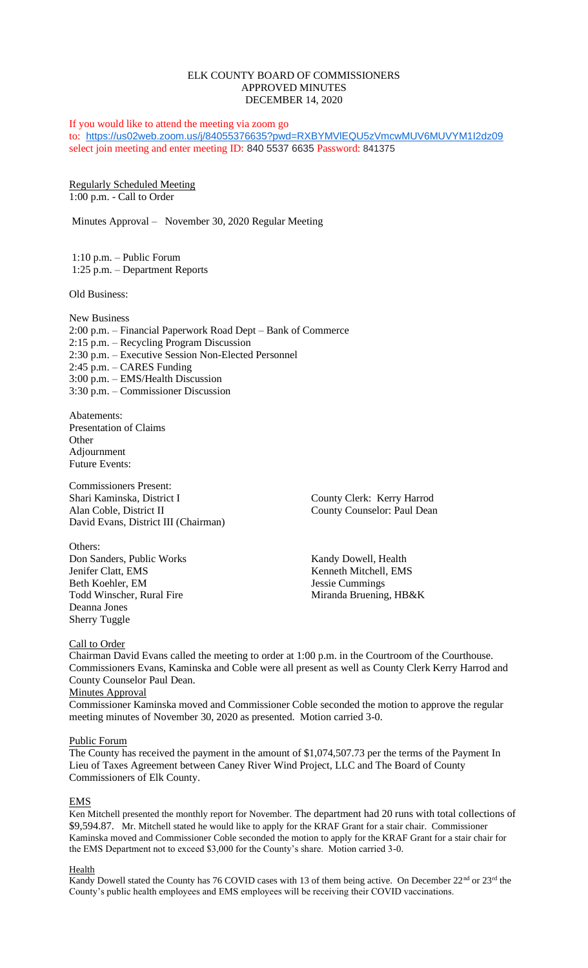# ELK COUNTY BOARD OF COMMISSIONERS APPROVED MINUTES DECEMBER 14, 2020

If you would like to attend the meeting via zoom go to: <https://us02web.zoom.us/j/84055376635?pwd=RXBYMVlEQU5zVmcwMUV6MUVYM1I2dz09> select join meeting and enter meeting ID: 840 5537 6635 Password: 841375

Regularly Scheduled Meeting 1:00 p.m. - Call to Order

Minutes Approval – November 30, 2020 Regular Meeting

1:10 p.m. – Public Forum 1:25 p.m. – Department Reports

Old Business:

New Business 2:00 p.m. – Financial Paperwork Road Dept – Bank of Commerce 2:15 p.m. – Recycling Program Discussion 2:30 p.m. – Executive Session Non-Elected Personnel 2:45 p.m. – CARES Funding 3:00 p.m. – EMS/Health Discussion 3:30 p.m. – Commissioner Discussion

Abatements: Presentation of Claims **Other** Adjournment Future Events:

Commissioners Present: Shari Kaminska, District I County Clerk: Kerry Harrod Alan Coble, District II County Counselor: Paul Dean David Evans, District III (Chairman)

Others: **Don Sanders, Public Works Kandy Dowell, Health** Jenifer Clatt, EMS<br>Beth Koehler, EM<br>Jessie Cummings Beth Koehler, EM Jessie Cummings<br>Todd Winscher. Rural Fire Miranda Bruening Deanna Jones Sherry Tuggle

Miranda Bruening, HB&K

## Call to Order

Chairman David Evans called the meeting to order at 1:00 p.m. in the Courtroom of the Courthouse. Commissioners Evans, Kaminska and Coble were all present as well as County Clerk Kerry Harrod and County Counselor Paul Dean.

# **Minutes Approval**

Commissioner Kaminska moved and Commissioner Coble seconded the motion to approve the regular meeting minutes of November 30, 2020 as presented. Motion carried 3-0.

## Public Forum

The County has received the payment in the amount of \$1,074,507.73 per the terms of the Payment In Lieu of Taxes Agreement between Caney River Wind Project, LLC and The Board of County Commissioners of Elk County.

## EMS

Ken Mitchell presented the monthly report for November. The department had 20 runs with total collections of \$9,594.87. Mr. Mitchell stated he would like to apply for the KRAF Grant for a stair chair. Commissioner Kaminska moved and Commissioner Coble seconded the motion to apply for the KRAF Grant for a stair chair for the EMS Department not to exceed \$3,000 for the County's share. Motion carried 3-0.

### Health

Kandy Dowell stated the County has 76 COVID cases with 13 of them being active. On December 22<sup>nd</sup> or 23<sup>rd</sup> the County's public health employees and EMS employees will be receiving their COVID vaccinations.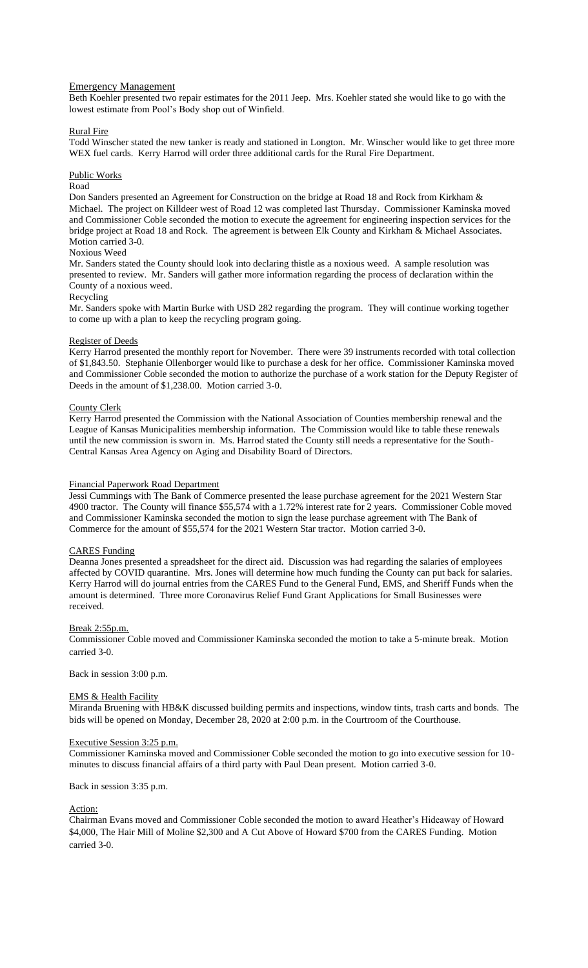## Emergency Management

Beth Koehler presented two repair estimates for the 2011 Jeep. Mrs. Koehler stated she would like to go with the lowest estimate from Pool's Body shop out of Winfield.

### Rural Fire

Todd Winscher stated the new tanker is ready and stationed in Longton. Mr. Winscher would like to get three more WEX fuel cards. Kerry Harrod will order three additional cards for the Rural Fire Department.

### Public Works

# Road

Don Sanders presented an Agreement for Construction on the bridge at Road 18 and Rock from Kirkham & Michael. The project on Killdeer west of Road 12 was completed last Thursday. Commissioner Kaminska moved and Commissioner Coble seconded the motion to execute the agreement for engineering inspection services for the bridge project at Road 18 and Rock. The agreement is between Elk County and Kirkham & Michael Associates. Motion carried 3-0.

# Noxious Weed

Mr. Sanders stated the County should look into declaring thistle as a noxious weed. A sample resolution was presented to review. Mr. Sanders will gather more information regarding the process of declaration within the County of a noxious weed.

#### Recycling

Mr. Sanders spoke with Martin Burke with USD 282 regarding the program. They will continue working together to come up with a plan to keep the recycling program going.

### Register of Deeds

Kerry Harrod presented the monthly report for November. There were 39 instruments recorded with total collection of \$1,843.50. Stephanie Ollenborger would like to purchase a desk for her office. Commissioner Kaminska moved and Commissioner Coble seconded the motion to authorize the purchase of a work station for the Deputy Register of Deeds in the amount of \$1,238.00. Motion carried 3-0.

## County Clerk

Kerry Harrod presented the Commission with the National Association of Counties membership renewal and the League of Kansas Municipalities membership information. The Commission would like to table these renewals until the new commission is sworn in. Ms. Harrod stated the County still needs a representative for the South-Central Kansas Area Agency on Aging and Disability Board of Directors.

#### Financial Paperwork Road Department

Jessi Cummings with The Bank of Commerce presented the lease purchase agreement for the 2021 Western Star 4900 tractor. The County will finance \$55,574 with a 1.72% interest rate for 2 years. Commissioner Coble moved and Commissioner Kaminska seconded the motion to sign the lease purchase agreement with The Bank of Commerce for the amount of \$55,574 for the 2021 Western Star tractor. Motion carried 3-0.

### CARES Funding

Deanna Jones presented a spreadsheet for the direct aid. Discussion was had regarding the salaries of employees affected by COVID quarantine. Mrs. Jones will determine how much funding the County can put back for salaries. Kerry Harrod will do journal entries from the CARES Fund to the General Fund, EMS, and Sheriff Funds when the amount is determined. Three more Coronavirus Relief Fund Grant Applications for Small Businesses were received.

#### Break 2:55p.m.

Commissioner Coble moved and Commissioner Kaminska seconded the motion to take a 5-minute break. Motion carried 3-0.

### Back in session 3:00 p.m.

### EMS & Health Facility

Miranda Bruening with HB&K discussed building permits and inspections, window tints, trash carts and bonds. The bids will be opened on Monday, December 28, 2020 at 2:00 p.m. in the Courtroom of the Courthouse.

#### Executive Session 3:25 p.m.

Commissioner Kaminska moved and Commissioner Coble seconded the motion to go into executive session for 10 minutes to discuss financial affairs of a third party with Paul Dean present. Motion carried 3-0.

Back in session 3:35 p.m.

#### Action:

Chairman Evans moved and Commissioner Coble seconded the motion to award Heather's Hideaway of Howard \$4,000, The Hair Mill of Moline \$2,300 and A Cut Above of Howard \$700 from the CARES Funding. Motion carried 3-0.